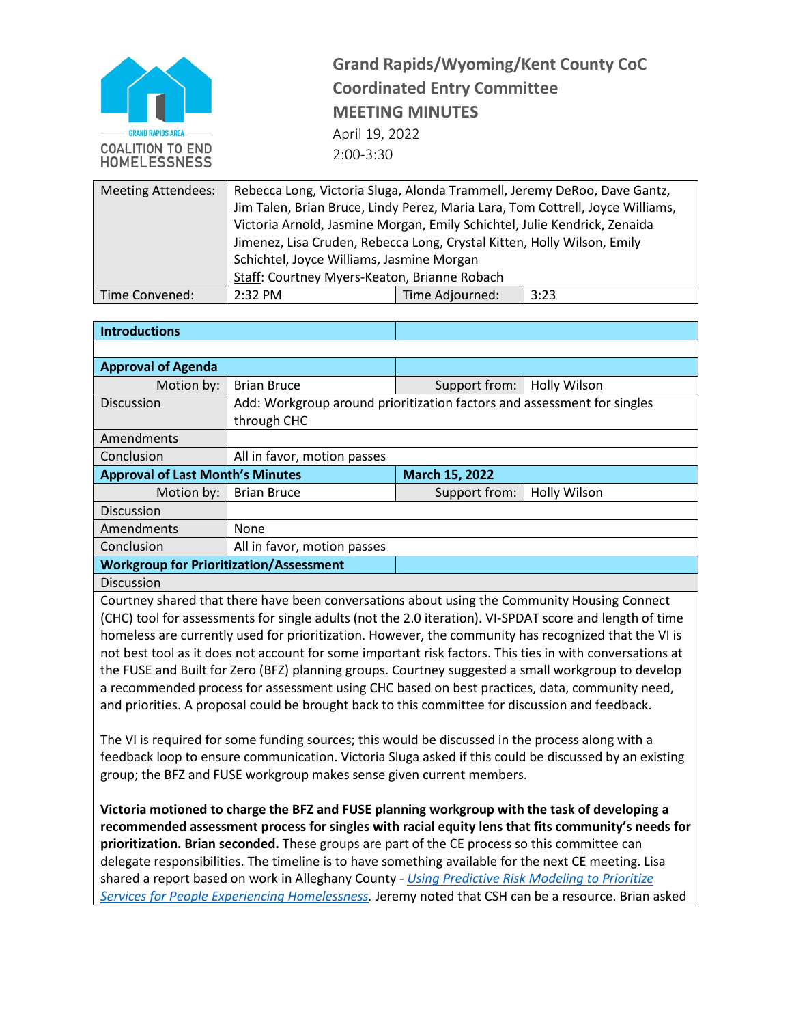

**Grand Rapids/Wyoming/Kent County CoC Coordinated Entry Committee MEETING MINUTES** April 19, 2022 2:00-3:30

| <b>Meeting Attendees:</b> | Rebecca Long, Victoria Sluga, Alonda Trammell, Jeremy DeRoo, Dave Gantz,       |                 |      |  |  |
|---------------------------|--------------------------------------------------------------------------------|-----------------|------|--|--|
|                           | Jim Talen, Brian Bruce, Lindy Perez, Maria Lara, Tom Cottrell, Joyce Williams, |                 |      |  |  |
|                           | Victoria Arnold, Jasmine Morgan, Emily Schichtel, Julie Kendrick, Zenaida      |                 |      |  |  |
|                           | Jimenez, Lisa Cruden, Rebecca Long, Crystal Kitten, Holly Wilson, Emily        |                 |      |  |  |
|                           | Schichtel, Joyce Williams, Jasmine Morgan                                      |                 |      |  |  |
|                           | Staff: Courtney Myers-Keaton, Brianne Robach                                   |                 |      |  |  |
| Time Convened:            | 2:32 PM                                                                        | Time Adjourned: | 3:23 |  |  |

| <b>Introductions</b>                           |                                                                         |                       |                     |  |
|------------------------------------------------|-------------------------------------------------------------------------|-----------------------|---------------------|--|
|                                                |                                                                         |                       |                     |  |
| <b>Approval of Agenda</b>                      |                                                                         |                       |                     |  |
| Motion by:                                     | <b>Brian Bruce</b>                                                      | Support from:         | <b>Holly Wilson</b> |  |
| Discussion                                     | Add: Workgroup around prioritization factors and assessment for singles |                       |                     |  |
|                                                | through CHC                                                             |                       |                     |  |
| Amendments                                     |                                                                         |                       |                     |  |
| Conclusion                                     | All in favor, motion passes                                             |                       |                     |  |
| <b>Approval of Last Month's Minutes</b>        |                                                                         | <b>March 15, 2022</b> |                     |  |
| Motion by:                                     | <b>Brian Bruce</b>                                                      | Support from:         | <b>Holly Wilson</b> |  |
| <b>Discussion</b>                              |                                                                         |                       |                     |  |
| Amendments                                     | <b>None</b>                                                             |                       |                     |  |
| Conclusion                                     | All in favor, motion passes                                             |                       |                     |  |
| <b>Workgroup for Prioritization/Assessment</b> |                                                                         |                       |                     |  |
| <b>Discussion</b>                              |                                                                         |                       |                     |  |

Courtney shared that there have been conversations about using the Community Housing Connect (CHC) tool for assessments for single adults (not the 2.0 iteration). VI-SPDAT score and length of time homeless are currently used for prioritization. However, the community has recognized that the VI is not best tool as it does not account for some important risk factors. This ties in with conversations at the FUSE and Built for Zero (BFZ) planning groups. Courtney suggested a small workgroup to develop a recommended process for assessment using CHC based on best practices, data, community need, and priorities. A proposal could be brought back to this committee for discussion and feedback.

The VI is required for some funding sources; this would be discussed in the process along with a feedback loop to ensure communication. Victoria Sluga asked if this could be discussed by an existing group; the BFZ and FUSE workgroup makes sense given current members.

**Victoria motioned to charge the BFZ and FUSE planning workgroup with the task of developing a recommended assessment process for singles with racial equity lens that fits community's needs for prioritization. Brian seconded.** These groups are part of the CE process so this committee can delegate responsibilities. The timeline is to have something available for the next CE meeting. Lisa shared a report based on work in Alleghany County - *[Using Predictive Risk Modeling to Prioritize](https://www.alleghenycountyanalytics.us/wp-content/uploads/2021/01/20-ACDHS-24-MethodologyReport_01142021_v2.pdf) [Services for People Experiencing](https://www.alleghenycountyanalytics.us/wp-content/uploads/2021/01/20-ACDHS-24-MethodologyReport_01142021_v2.pdf) Homelessness.* Jeremy noted that CSH can be a resource. Brian asked